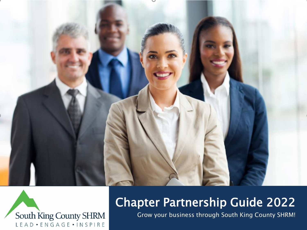



## Chapter Partnership Guide 2022

Grow your business through South King County SHRM!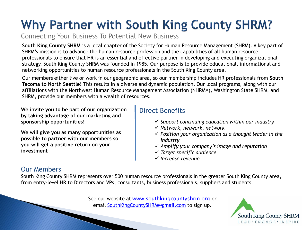# Why Partner with South King County SHRM?

Connecting Your Business To Potential New Business

**South King County SHRM** is a local chapter of the Society for Human Resource Management (SHRM). A key part of SHRM's mission is to advance the human resource profession and the capabilities of all human resource professionals to ensure that HR is an essential and effective partner in developing and executing organizational strategy. South King County SHRM was founded in 1985. Our purpose is to provide educational, informational and networking opportunities to human resource professionals in the South King County area.

Our members either live or work in our geographic area, so our membership includes HR professionals from **South Tacoma to North Seattle**! This results in a diverse and dynamic population. Our local programs, along with our affiliations with the Northwest Human Resource Management Association (NHRMA), Washington State SHRM, and SHRM, provide our members with a wealth of resources.

**We invite you to be part of our organization by taking advantage of our marketing and sponsorship opportunities!**

**We will give you as many opportunities as possible to partner with our members so you will get a positive return on your investment**

### Direct Benefits

- ✓ *Support continuing education within our industry*
- ✓ *Network, network, network*
- ✓ *Position your organization as a thought leader in the industry*
- ✓ *Amplify your company's image and reputation*
- ✓ *Target specific audience*
- ✓ *Increase revenue*

### Our Members

South King County SHRM represents over 500 human resource professionals in the greater South King County area, from entry-level HR to Directors and VPs, consultants, business professionals, suppliers and students.

> See our website at [www.southkingcountyshrm.org](http://www.southkingcountyshrm.org/) or email [SouthKingCountySHRM@gmail.com](mailto:SouthKingCountySHRM@gmail.com) to sign up.